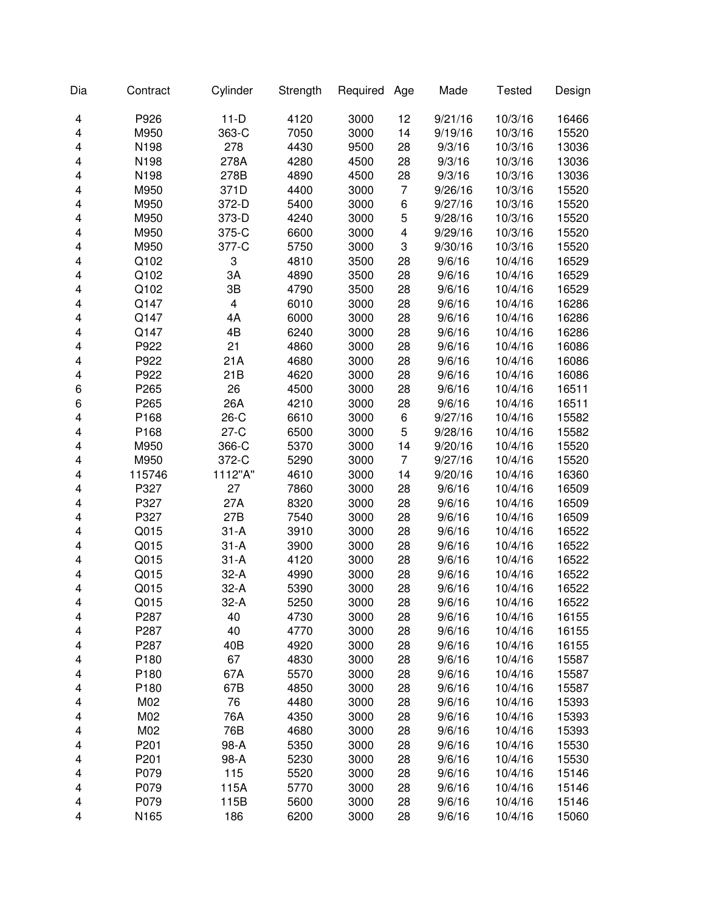| Dia | Contract         | Cylinder | Strength | Required | Age            | Made    | <b>Tested</b> | Design |
|-----|------------------|----------|----------|----------|----------------|---------|---------------|--------|
| 4   | P926             | $11-D$   | 4120     | 3000     | 12             | 9/21/16 | 10/3/16       | 16466  |
| 4   | M950             | 363-C    | 7050     | 3000     | 14             | 9/19/16 | 10/3/16       | 15520  |
| 4   | N198             | 278      | 4430     | 9500     | 28             | 9/3/16  | 10/3/16       | 13036  |
| 4   | N198             | 278A     | 4280     | 4500     | 28             | 9/3/16  | 10/3/16       | 13036  |
| 4   | N198             | 278B     | 4890     | 4500     | 28             | 9/3/16  | 10/3/16       | 13036  |
| 4   | M950             | 371D     | 4400     | 3000     | $\overline{7}$ | 9/26/16 | 10/3/16       | 15520  |
| 4   | M950             | 372-D    | 5400     | 3000     | 6              | 9/27/16 | 10/3/16       | 15520  |
| 4   | M950             | 373-D    | 4240     | 3000     | 5              | 9/28/16 | 10/3/16       | 15520  |
| 4   | M950             | 375-C    | 6600     | 3000     | 4              | 9/29/16 | 10/3/16       | 15520  |
| 4   | M950             | 377-C    | 5750     | 3000     | 3              | 9/30/16 | 10/3/16       | 15520  |
| 4   | Q102             | 3        | 4810     | 3500     | 28             | 9/6/16  | 10/4/16       | 16529  |
| 4   | Q102             | 3A       | 4890     | 3500     | 28             | 9/6/16  | 10/4/16       | 16529  |
| 4   | Q102             | 3B       | 4790     | 3500     | 28             | 9/6/16  | 10/4/16       | 16529  |
| 4   | Q147             | 4        | 6010     | 3000     | 28             | 9/6/16  | 10/4/16       | 16286  |
| 4   | Q147             | 4A       | 6000     | 3000     | 28             | 9/6/16  | 10/4/16       | 16286  |
| 4   | Q147             | 4B       | 6240     | 3000     | 28             | 9/6/16  | 10/4/16       | 16286  |
| 4   | P922             | 21       | 4860     | 3000     | 28             | 9/6/16  | 10/4/16       | 16086  |
| 4   | P922             | 21A      | 4680     | 3000     | 28             | 9/6/16  | 10/4/16       | 16086  |
| 4   | P922             | 21B      | 4620     | 3000     | 28             | 9/6/16  | 10/4/16       | 16086  |
| 6   | P265             | 26       | 4500     | 3000     | 28             | 9/6/16  | 10/4/16       | 16511  |
| 6   | P265             | 26A      | 4210     | 3000     | 28             | 9/6/16  | 10/4/16       | 16511  |
| 4   | P168             | $26-C$   | 6610     | 3000     | 6              | 9/27/16 | 10/4/16       | 15582  |
| 4   | P168             | $27-C$   | 6500     | 3000     | 5              | 9/28/16 | 10/4/16       | 15582  |
| 4   | M950             | 366-C    | 5370     | 3000     | 14             | 9/20/16 | 10/4/16       | 15520  |
| 4   | M950             | 372-C    | 5290     | 3000     | $\overline{7}$ | 9/27/16 | 10/4/16       | 15520  |
| 4   | 115746           | 1112"A"  | 4610     | 3000     | 14             | 9/20/16 | 10/4/16       | 16360  |
| 4   | P327             | 27       | 7860     | 3000     | 28             | 9/6/16  | 10/4/16       | 16509  |
| 4   | P327             | 27A      | 8320     | 3000     | 28             | 9/6/16  | 10/4/16       | 16509  |
| 4   | P327             | 27B      | 7540     | 3000     | 28             | 9/6/16  | 10/4/16       | 16509  |
| 4   | Q015             | $31 - A$ | 3910     | 3000     | 28             | 9/6/16  | 10/4/16       | 16522  |
| 4   | Q015             | $31 - A$ | 3900     | 3000     | 28             | 9/6/16  | 10/4/16       | 16522  |
| 4   | Q015             | $31 - A$ | 4120     | 3000     | 28             | 9/6/16  | 10/4/16       | 16522  |
| 4   | Q015             | $32-A$   | 4990     | 3000     | 28             | 9/6/16  | 10/4/16       | 16522  |
| 4   | Q015             | $32-A$   | 5390     | 3000     | 28             | 9/6/16  | 10/4/16       | 16522  |
| 4   | Q015             | $32-A$   | 5250     | 3000     | 28             | 9/6/16  | 10/4/16       | 16522  |
| 4   | P287             | 40       | 4730     | 3000     | 28             | 9/6/16  | 10/4/16       | 16155  |
| 4   | P287             | 40       | 4770     | 3000     | 28             | 9/6/16  | 10/4/16       | 16155  |
| 4   | P287             | 40B      | 4920     | 3000     | 28             | 9/6/16  | 10/4/16       | 16155  |
| 4   | P <sub>180</sub> | 67       | 4830     | 3000     | 28             | 9/6/16  | 10/4/16       | 15587  |
| 4   | P180             | 67A      | 5570     | 3000     | 28             | 9/6/16  | 10/4/16       | 15587  |
| 4   | P180             | 67B      | 4850     | 3000     | 28             | 9/6/16  | 10/4/16       | 15587  |
| 4   | M02              | 76       | 4480     | 3000     | 28             | 9/6/16  | 10/4/16       | 15393  |
| 4   | M02              | 76A      | 4350     | 3000     | 28             | 9/6/16  | 10/4/16       | 15393  |
| 4   | M02              | 76B      | 4680     | 3000     | 28             | 9/6/16  | 10/4/16       | 15393  |
| 4   | P201             | 98-A     | 5350     | 3000     | 28             | 9/6/16  | 10/4/16       | 15530  |
| 4   | P201             | 98-A     | 5230     | 3000     | 28             | 9/6/16  | 10/4/16       | 15530  |
| 4   | P079             | 115      | 5520     | 3000     | 28             | 9/6/16  | 10/4/16       | 15146  |
| 4   | P079             | 115A     | 5770     | 3000     | 28             | 9/6/16  | 10/4/16       | 15146  |
| 4   | P079             | 115B     | 5600     | 3000     | 28             | 9/6/16  | 10/4/16       | 15146  |
| 4   | N165             | 186      | 6200     | 3000     | 28             | 9/6/16  | 10/4/16       | 15060  |
|     |                  |          |          |          |                |         |               |        |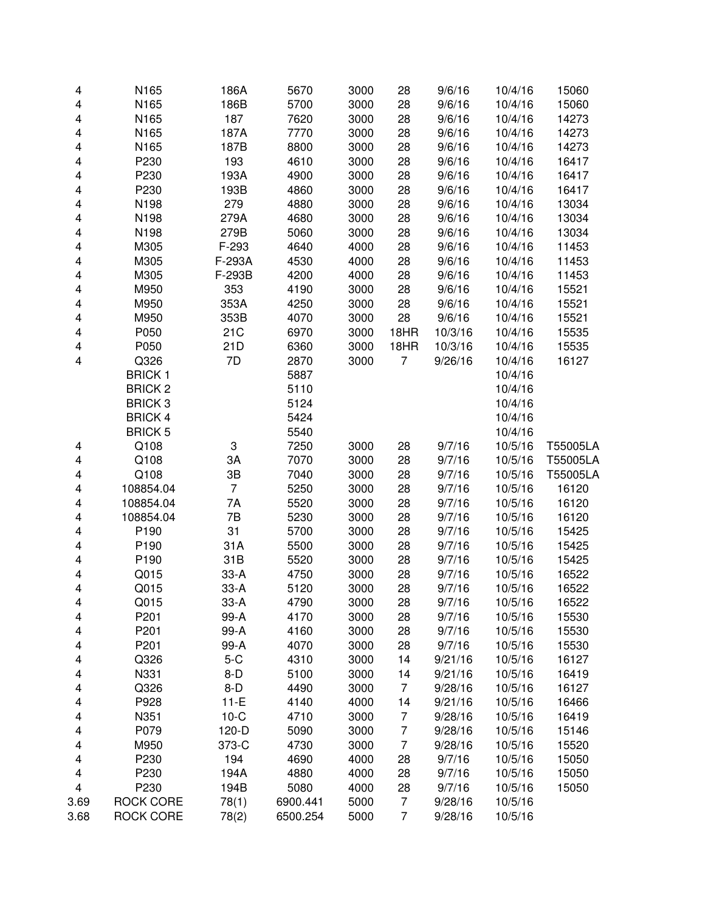| 4                       | N165             | 186A           | 5670     | 3000 | 28             | 9/6/16  | 10/4/16 | 15060    |
|-------------------------|------------------|----------------|----------|------|----------------|---------|---------|----------|
| 4                       | N165             | 186B           | 5700     | 3000 | 28             | 9/6/16  | 10/4/16 | 15060    |
| 4                       | N165             | 187            | 7620     | 3000 | 28             | 9/6/16  | 10/4/16 | 14273    |
| 4                       | N165             | 187A           | 7770     | 3000 | 28             | 9/6/16  | 10/4/16 | 14273    |
| 4                       | N165             | 187B           | 8800     | 3000 | 28             | 9/6/16  | 10/4/16 | 14273    |
| 4                       | P230             | 193            | 4610     | 3000 | 28             | 9/6/16  | 10/4/16 | 16417    |
| 4                       | P230             | 193A           | 4900     | 3000 | 28             | 9/6/16  | 10/4/16 | 16417    |
| 4                       | P230             | 193B           | 4860     | 3000 | 28             | 9/6/16  | 10/4/16 | 16417    |
| 4                       | N198             | 279            | 4880     | 3000 | 28             | 9/6/16  | 10/4/16 | 13034    |
| 4                       | N198             | 279A           | 4680     | 3000 | 28             | 9/6/16  | 10/4/16 | 13034    |
| 4                       | N198             | 279B           | 5060     | 3000 | 28             | 9/6/16  | 10/4/16 | 13034    |
| 4                       | M305             | F-293          | 4640     | 4000 | 28             | 9/6/16  | 10/4/16 | 11453    |
| 4                       | M305             | F-293A         | 4530     | 4000 | 28             | 9/6/16  | 10/4/16 | 11453    |
| 4                       | M305             | F-293B         | 4200     | 4000 | 28             | 9/6/16  | 10/4/16 | 11453    |
| 4                       | M950             | 353            | 4190     | 3000 | 28             | 9/6/16  | 10/4/16 | 15521    |
| 4                       | M950             | 353A           | 4250     | 3000 | 28             | 9/6/16  | 10/4/16 | 15521    |
| 4                       | M950             | 353B           | 4070     | 3000 | 28             | 9/6/16  | 10/4/16 | 15521    |
| 4                       | P050             | 21C            | 6970     | 3000 | 18HR           | 10/3/16 | 10/4/16 | 15535    |
| 4                       | P050             | 21D            | 6360     | 3000 | 18HR           | 10/3/16 | 10/4/16 | 15535    |
| $\overline{\mathbf{4}}$ | Q326             | 7D             | 2870     | 3000 | 7              | 9/26/16 | 10/4/16 | 16127    |
|                         | <b>BRICK1</b>    |                | 5887     |      |                |         | 10/4/16 |          |
|                         | <b>BRICK 2</b>   |                | 5110     |      |                |         | 10/4/16 |          |
|                         | <b>BRICK3</b>    |                | 5124     |      |                |         | 10/4/16 |          |
|                         | <b>BRICK4</b>    |                | 5424     |      |                |         | 10/4/16 |          |
|                         | <b>BRICK 5</b>   |                | 5540     |      |                |         | 10/4/16 |          |
| 4                       | Q108             | 3              | 7250     | 3000 | 28             | 9/7/16  | 10/5/16 | T55005LA |
| 4                       | Q108             | 3A             | 7070     | 3000 | 28             | 9/7/16  | 10/5/16 | T55005LA |
| 4                       | Q108             | 3B             | 7040     | 3000 | 28             | 9/7/16  | 10/5/16 | T55005LA |
| 4                       | 108854.04        | $\overline{7}$ | 5250     | 3000 | 28             | 9/7/16  | 10/5/16 | 16120    |
| 4                       | 108854.04        | 7A             | 5520     | 3000 | 28             | 9/7/16  | 10/5/16 | 16120    |
| 4                       | 108854.04        | 7B             | 5230     | 3000 | 28             | 9/7/16  | 10/5/16 | 16120    |
| 4                       | P190             | 31             | 5700     | 3000 | 28             | 9/7/16  | 10/5/16 | 15425    |
| 4                       | P190             | 31A            | 5500     | 3000 | 28             | 9/7/16  | 10/5/16 | 15425    |
| 4                       | P190             | 31B            | 5520     | 3000 | 28             | 9/7/16  | 10/5/16 | 15425    |
| 4                       | Q015             | $33-A$         | 4750     | 3000 | 28             | 9/7/16  | 10/5/16 | 16522    |
| 4                       | Q015             | $33-A$         | 5120     | 3000 | 28             | 9/7/16  | 10/5/16 | 16522    |
| 4                       | Q015             | 33-A           | 4790     | 3000 | 28             | 9/7/16  | 10/5/16 | 16522    |
| 4                       | P201             | 99-A           | 4170     | 3000 | 28             | 9/7/16  | 10/5/16 | 15530    |
| 4                       | P201             | 99-A           | 4160     | 3000 | 28             | 9/7/16  | 10/5/16 | 15530    |
| 4                       | P201             | 99-A           | 4070     | 3000 | 28             | 9/7/16  | 10/5/16 | 15530    |
| 4                       | Q326             | $5-C$          | 4310     | 3000 | 14             | 9/21/16 | 10/5/16 | 16127    |
| 4                       | N331             | $8-D$          | 5100     | 3000 | 14             | 9/21/16 | 10/5/16 | 16419    |
| 4                       | Q326             | $8-D$          | 4490     | 3000 | $\overline{7}$ | 9/28/16 | 10/5/16 | 16127    |
| 4                       | P928             | $11-E$         | 4140     | 4000 | 14             | 9/21/16 | 10/5/16 | 16466    |
| 4                       | N351             | $10-C$         | 4710     | 3000 | $\overline{7}$ | 9/28/16 | 10/5/16 | 16419    |
| 4                       | P079             | 120-D          | 5090     | 3000 | $\overline{7}$ | 9/28/16 | 10/5/16 | 15146    |
| 4                       | M950             | 373-C          | 4730     | 3000 | $\overline{7}$ | 9/28/16 | 10/5/16 | 15520    |
| 4                       | P230             | 194            | 4690     | 4000 | 28             | 9/7/16  | 10/5/16 | 15050    |
| 4                       | P230             | 194A           | 4880     | 4000 | 28             | 9/7/16  | 10/5/16 | 15050    |
| $\overline{\mathbf{4}}$ | P230             | 194B           | 5080     | 4000 | 28             | 9/7/16  | 10/5/16 | 15050    |
| 3.69                    | <b>ROCK CORE</b> | 78(1)          | 6900.441 | 5000 | $\overline{7}$ | 9/28/16 | 10/5/16 |          |
| 3.68                    | <b>ROCK CORE</b> | 78(2)          | 6500.254 | 5000 | 7              | 9/28/16 | 10/5/16 |          |
|                         |                  |                |          |      |                |         |         |          |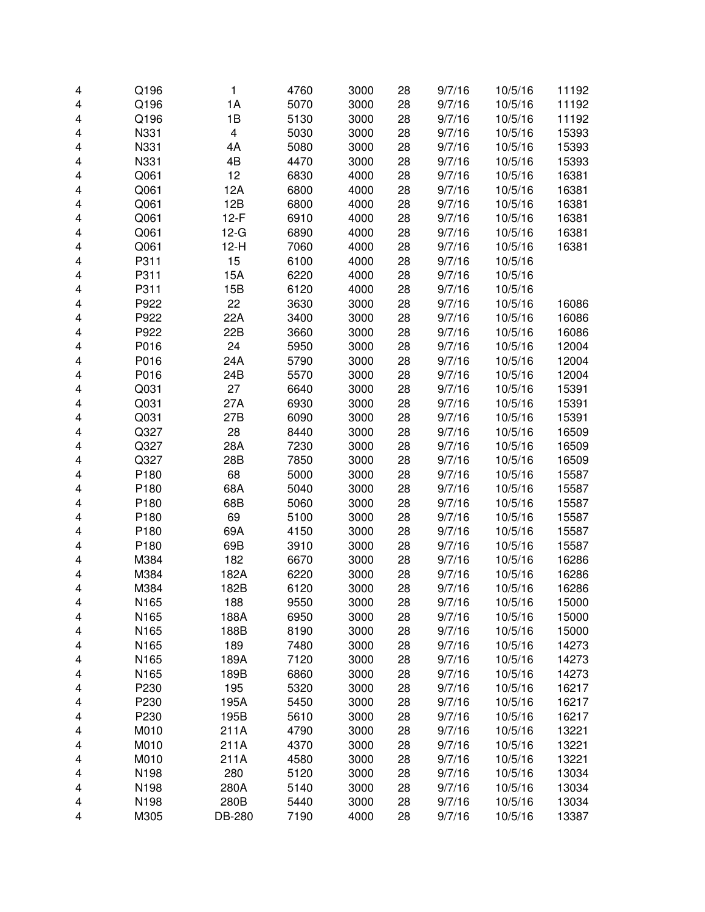| 4      | Q196             | 1                       | 4760 | 3000         | 28       | 9/7/16 | 10/5/16 | 11192 |
|--------|------------------|-------------------------|------|--------------|----------|--------|---------|-------|
| 4      | Q196             | 1A                      | 5070 | 3000         | 28       | 9/7/16 | 10/5/16 | 11192 |
| 4      | Q196             | 1B                      | 5130 | 3000         | 28       | 9/7/16 | 10/5/16 | 11192 |
| 4      | N331             | $\overline{\mathbf{4}}$ | 5030 | 3000         | 28       | 9/7/16 | 10/5/16 | 15393 |
| 4      | N331             | 4A                      | 5080 | 3000         | 28       | 9/7/16 | 10/5/16 | 15393 |
| 4      | N331             | 4B                      | 4470 | 3000         | 28       | 9/7/16 | 10/5/16 | 15393 |
| 4      | Q061             | 12                      | 6830 | 4000         | 28       | 9/7/16 | 10/5/16 | 16381 |
| 4      | Q061             | 12A                     | 6800 | 4000         | 28       | 9/7/16 | 10/5/16 | 16381 |
| 4      | Q061             | 12B                     | 6800 | 4000         | 28       | 9/7/16 | 10/5/16 | 16381 |
| 4      | Q061             | $12-F$                  | 6910 | 4000         | 28       | 9/7/16 | 10/5/16 | 16381 |
| 4      | Q061             | $12-G$                  | 6890 | 4000         | 28       | 9/7/16 | 10/5/16 | 16381 |
| 4      | Q061             | $12-H$                  | 7060 | 4000         | 28       | 9/7/16 | 10/5/16 | 16381 |
| 4      | P311             | 15                      | 6100 | 4000         | 28       | 9/7/16 | 10/5/16 |       |
| 4      | P311             | 15A                     | 6220 | 4000         | 28       | 9/7/16 | 10/5/16 |       |
| 4      | P311             | 15B                     | 6120 | 4000         | 28       | 9/7/16 | 10/5/16 |       |
| 4      | P922             | 22                      | 3630 | 3000         | 28       | 9/7/16 | 10/5/16 | 16086 |
| 4      | P922             | 22A                     | 3400 | 3000         | 28       | 9/7/16 | 10/5/16 | 16086 |
| 4      | P922             | 22B                     | 3660 | 3000         | 28       | 9/7/16 | 10/5/16 | 16086 |
| 4      | P016             | 24                      | 5950 | 3000         | 28       | 9/7/16 | 10/5/16 | 12004 |
| 4      | P016             | 24A                     | 5790 | 3000         | 28       | 9/7/16 | 10/5/16 | 12004 |
| 4      | P016             | 24B                     | 5570 | 3000         | 28       | 9/7/16 | 10/5/16 | 12004 |
| 4      | Q031             | 27                      | 6640 | 3000         | 28       | 9/7/16 | 10/5/16 | 15391 |
| 4      | Q031             | 27A                     | 6930 | 3000         | 28       | 9/7/16 | 10/5/16 | 15391 |
| 4      | Q031             | 27B                     | 6090 | 3000         | 28       | 9/7/16 | 10/5/16 | 15391 |
| 4      | Q327             | 28                      | 8440 | 3000         | 28       | 9/7/16 | 10/5/16 | 16509 |
| 4      | Q327             | 28A                     | 7230 | 3000         | 28       | 9/7/16 | 10/5/16 | 16509 |
| 4      | Q327             | 28B                     | 7850 | 3000         | 28       | 9/7/16 | 10/5/16 | 16509 |
| 4      | P180             | 68                      | 5000 | 3000         | 28       | 9/7/16 | 10/5/16 | 15587 |
| 4      | P180             | 68A                     | 5040 | 3000         | 28       | 9/7/16 | 10/5/16 | 15587 |
| 4      | P180             | 68B                     | 5060 | 3000         | 28       | 9/7/16 | 10/5/16 | 15587 |
| 4      | P180             | 69                      | 5100 | 3000         | 28       | 9/7/16 | 10/5/16 | 15587 |
| 4      | P180             | 69A                     | 4150 | 3000         | 28       | 9/7/16 | 10/5/16 | 15587 |
| 4      | P180             | 69B                     | 3910 | 3000         | 28       | 9/7/16 | 10/5/16 | 15587 |
| 4      | M384             | 182                     | 6670 | 3000         | 28       | 9/7/16 | 10/5/16 | 16286 |
| 4      | M384             | 182A                    | 6220 | 3000         | 28       | 9/7/16 | 10/5/16 | 16286 |
| 4      | M384             | 182B                    | 6120 | 3000         | 28       | 9/7/16 | 10/5/16 | 16286 |
|        | N <sub>165</sub> | 188                     | 9550 |              |          | 9/7/16 | 10/5/16 | 15000 |
| 4<br>4 | N165             | 188A                    | 6950 | 3000<br>3000 | 28<br>28 | 9/7/16 | 10/5/16 | 15000 |
| 4      | N165             | 188B                    | 8190 | 3000         | 28       | 9/7/16 | 10/5/16 | 15000 |
| 4      | N165             | 189                     | 7480 | 3000         | 28       | 9/7/16 | 10/5/16 | 14273 |
|        | N165             | 189A                    | 7120 | 3000         | 28       | 9/7/16 | 10/5/16 | 14273 |
| 4      | N165             | 189B                    | 6860 | 3000         | 28       | 9/7/16 | 10/5/16 | 14273 |
| 4      | P230             | 195                     | 5320 | 3000         | 28       |        | 10/5/16 | 16217 |
| 4      |                  |                         |      |              |          | 9/7/16 |         |       |
| 4      | P230             | 195A                    | 5450 | 3000<br>3000 | 28       | 9/7/16 | 10/5/16 | 16217 |
| 4      | P230             | 195B                    | 5610 |              | 28       | 9/7/16 | 10/5/16 | 16217 |
| 4      | M010             | 211A                    | 4790 | 3000         | 28       | 9/7/16 | 10/5/16 | 13221 |
| 4      | M010             | 211A                    | 4370 | 3000         | 28       | 9/7/16 | 10/5/16 | 13221 |
| 4      | M010             | 211A                    | 4580 | 3000         | 28       | 9/7/16 | 10/5/16 | 13221 |
| 4      | N198             | 280                     | 5120 | 3000         | 28       | 9/7/16 | 10/5/16 | 13034 |
| 4      | N198             | 280A                    | 5140 | 3000         | 28       | 9/7/16 | 10/5/16 | 13034 |
| 4      | N198             | 280B                    | 5440 | 3000         | 28       | 9/7/16 | 10/5/16 | 13034 |
| 4      | M305             | DB-280                  | 7190 | 4000         | 28       | 9/7/16 | 10/5/16 | 13387 |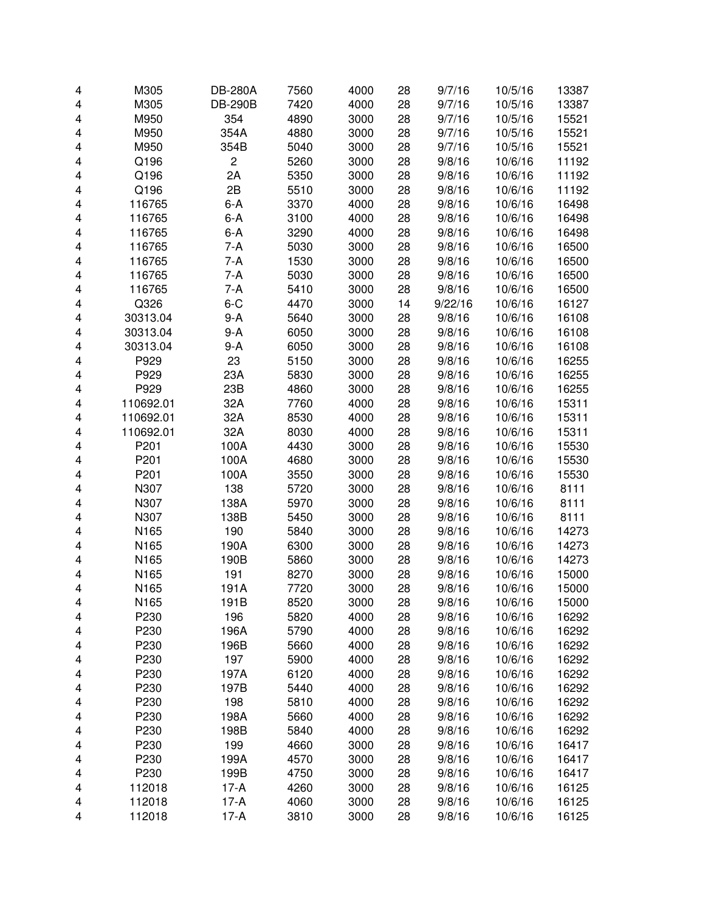| 4 | M305      | <b>DB-280A</b> | 7560 | 4000 | 28 | 9/7/16  | 10/5/16 | 13387 |
|---|-----------|----------------|------|------|----|---------|---------|-------|
| 4 | M305      | <b>DB-290B</b> | 7420 | 4000 | 28 | 9/7/16  | 10/5/16 | 13387 |
| 4 | M950      | 354            | 4890 | 3000 | 28 | 9/7/16  | 10/5/16 | 15521 |
| 4 | M950      | 354A           | 4880 | 3000 | 28 | 9/7/16  | 10/5/16 | 15521 |
| 4 | M950      | 354B           | 5040 | 3000 | 28 | 9/7/16  | 10/5/16 | 15521 |
| 4 | Q196      | $\overline{c}$ | 5260 | 3000 | 28 | 9/8/16  | 10/6/16 | 11192 |
| 4 | Q196      | 2A             | 5350 | 3000 | 28 | 9/8/16  | 10/6/16 | 11192 |
| 4 | Q196      | 2B             | 5510 | 3000 | 28 | 9/8/16  | 10/6/16 | 11192 |
| 4 | 116765    | $6-A$          | 3370 | 4000 | 28 | 9/8/16  | 10/6/16 | 16498 |
| 4 | 116765    | $6-A$          | 3100 | 4000 | 28 | 9/8/16  | 10/6/16 | 16498 |
| 4 | 116765    | $6-A$          | 3290 | 4000 | 28 | 9/8/16  | 10/6/16 | 16498 |
| 4 | 116765    | 7-A            | 5030 | 3000 | 28 | 9/8/16  | 10/6/16 | 16500 |
| 4 | 116765    | 7-A            | 1530 | 3000 | 28 | 9/8/16  | 10/6/16 | 16500 |
| 4 | 116765    | 7-A            | 5030 | 3000 | 28 | 9/8/16  | 10/6/16 | 16500 |
| 4 | 116765    | 7-A            | 5410 | 3000 | 28 | 9/8/16  | 10/6/16 | 16500 |
| 4 | Q326      | $6 - C$        | 4470 | 3000 | 14 | 9/22/16 | 10/6/16 | 16127 |
| 4 | 30313.04  | $9-A$          | 5640 | 3000 | 28 | 9/8/16  | 10/6/16 | 16108 |
| 4 | 30313.04  | $9-A$          | 6050 | 3000 | 28 | 9/8/16  | 10/6/16 | 16108 |
| 4 | 30313.04  | 9-A            | 6050 | 3000 | 28 | 9/8/16  | 10/6/16 | 16108 |
| 4 | P929      | 23             | 5150 | 3000 | 28 | 9/8/16  | 10/6/16 | 16255 |
| 4 | P929      | 23A            | 5830 | 3000 | 28 | 9/8/16  | 10/6/16 | 16255 |
| 4 | P929      | 23B            | 4860 | 3000 | 28 | 9/8/16  | 10/6/16 | 16255 |
| 4 | 110692.01 | 32A            | 7760 | 4000 | 28 | 9/8/16  | 10/6/16 | 15311 |
| 4 | 110692.01 | 32A            | 8530 | 4000 | 28 | 9/8/16  | 10/6/16 | 15311 |
| 4 | 110692.01 | 32A            | 8030 | 4000 | 28 | 9/8/16  | 10/6/16 | 15311 |
| 4 | P201      | 100A           | 4430 | 3000 | 28 | 9/8/16  | 10/6/16 | 15530 |
| 4 | P201      | 100A           | 4680 | 3000 | 28 | 9/8/16  | 10/6/16 | 15530 |
| 4 | P201      | 100A           | 3550 | 3000 | 28 | 9/8/16  | 10/6/16 | 15530 |
| 4 | N307      | 138            | 5720 | 3000 | 28 | 9/8/16  | 10/6/16 | 8111  |
| 4 | N307      | 138A           | 5970 | 3000 | 28 | 9/8/16  | 10/6/16 | 8111  |
| 4 | N307      | 138B           | 5450 | 3000 | 28 | 9/8/16  | 10/6/16 | 8111  |
| 4 | N165      | 190            | 5840 | 3000 | 28 | 9/8/16  | 10/6/16 | 14273 |
| 4 | N165      | 190A           | 6300 | 3000 | 28 | 9/8/16  | 10/6/16 | 14273 |
| 4 | N165      | 190B           | 5860 | 3000 | 28 | 9/8/16  | 10/6/16 | 14273 |
| 4 | N165      | 191            | 8270 | 3000 | 28 | 9/8/16  | 10/6/16 | 15000 |
| 4 | N165      | 191A           | 7720 | 3000 | 28 | 9/8/16  | 10/6/16 | 15000 |
| 4 | N165      | 191B           | 8520 | 3000 | 28 | 9/8/16  | 10/6/16 | 15000 |
| 4 | P230      | 196            | 5820 | 4000 | 28 | 9/8/16  | 10/6/16 | 16292 |
| 4 | P230      | 196A           | 5790 | 4000 | 28 | 9/8/16  | 10/6/16 | 16292 |
| 4 | P230      | 196B           | 5660 | 4000 | 28 | 9/8/16  | 10/6/16 | 16292 |
| 4 | P230      | 197            | 5900 | 4000 | 28 | 9/8/16  | 10/6/16 | 16292 |
| 4 | P230      | 197A           | 6120 | 4000 | 28 | 9/8/16  | 10/6/16 | 16292 |
| 4 | P230      | 197B           | 5440 | 4000 | 28 | 9/8/16  | 10/6/16 | 16292 |
| 4 | P230      | 198            | 5810 | 4000 | 28 | 9/8/16  | 10/6/16 | 16292 |
| 4 | P230      | 198A           | 5660 | 4000 | 28 | 9/8/16  | 10/6/16 | 16292 |
| 4 | P230      | 198B           | 5840 | 4000 | 28 | 9/8/16  | 10/6/16 | 16292 |
| 4 | P230      | 199            | 4660 | 3000 | 28 | 9/8/16  | 10/6/16 | 16417 |
| 4 | P230      | 199A           | 4570 | 3000 | 28 | 9/8/16  | 10/6/16 | 16417 |
| 4 | P230      | 199B           | 4750 | 3000 | 28 | 9/8/16  | 10/6/16 | 16417 |
| 4 | 112018    | $17-A$         | 4260 | 3000 | 28 | 9/8/16  | 10/6/16 | 16125 |
| 4 | 112018    | $17-A$         | 4060 | 3000 | 28 | 9/8/16  | 10/6/16 | 16125 |
| 4 | 112018    | $17-A$         | 3810 | 3000 | 28 | 9/8/16  | 10/6/16 | 16125 |
|   |           |                |      |      |    |         |         |       |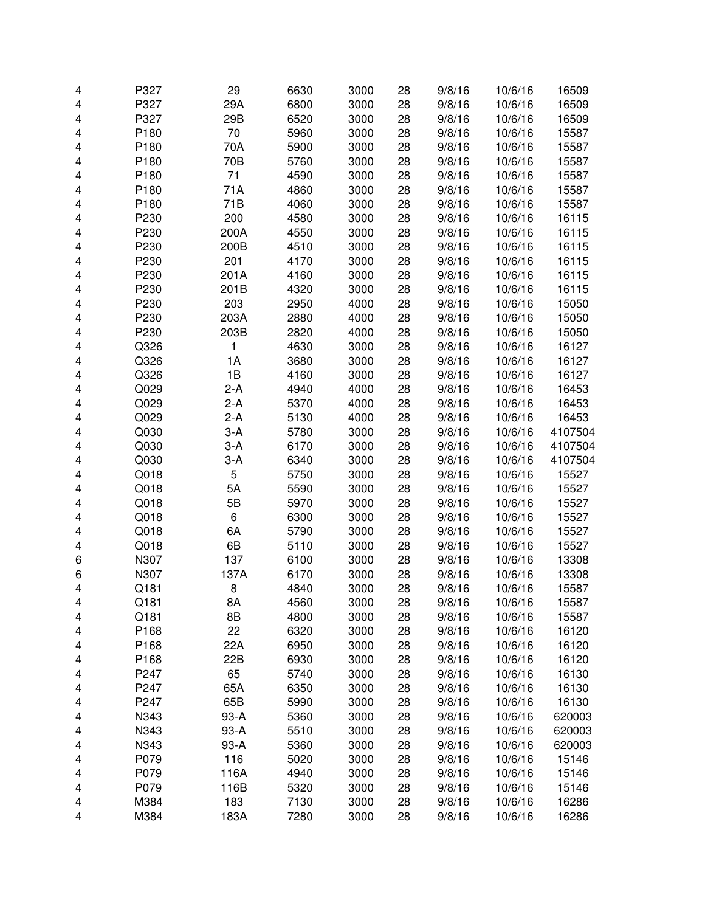| 4 | P327 | 29    | 6630 | 3000 | 28 | 9/8/16 | 10/6/16 | 16509   |
|---|------|-------|------|------|----|--------|---------|---------|
| 4 | P327 | 29A   | 6800 | 3000 | 28 | 9/8/16 | 10/6/16 | 16509   |
| 4 | P327 | 29B   | 6520 | 3000 | 28 | 9/8/16 | 10/6/16 | 16509   |
| 4 | P180 | 70    | 5960 | 3000 | 28 | 9/8/16 | 10/6/16 | 15587   |
| 4 | P180 | 70A   | 5900 | 3000 | 28 | 9/8/16 | 10/6/16 | 15587   |
| 4 | P180 | 70B   | 5760 | 3000 | 28 | 9/8/16 | 10/6/16 | 15587   |
| 4 | P180 | 71    | 4590 | 3000 | 28 | 9/8/16 | 10/6/16 | 15587   |
| 4 | P180 | 71A   | 4860 | 3000 | 28 | 9/8/16 | 10/6/16 | 15587   |
| 4 | P180 | 71B   | 4060 | 3000 | 28 | 9/8/16 | 10/6/16 | 15587   |
| 4 | P230 | 200   | 4580 | 3000 | 28 | 9/8/16 | 10/6/16 | 16115   |
| 4 | P230 | 200A  | 4550 | 3000 | 28 | 9/8/16 | 10/6/16 | 16115   |
| 4 | P230 | 200B  | 4510 | 3000 | 28 | 9/8/16 | 10/6/16 | 16115   |
| 4 | P230 | 201   | 4170 | 3000 | 28 | 9/8/16 | 10/6/16 | 16115   |
| 4 | P230 | 201A  | 4160 | 3000 | 28 | 9/8/16 | 10/6/16 | 16115   |
| 4 | P230 | 201B  | 4320 | 3000 | 28 | 9/8/16 | 10/6/16 | 16115   |
| 4 | P230 | 203   | 2950 | 4000 | 28 | 9/8/16 | 10/6/16 | 15050   |
| 4 | P230 | 203A  | 2880 | 4000 | 28 | 9/8/16 | 10/6/16 | 15050   |
| 4 | P230 | 203B  | 2820 | 4000 | 28 | 9/8/16 | 10/6/16 | 15050   |
| 4 | Q326 | 1     | 4630 | 3000 | 28 | 9/8/16 | 10/6/16 | 16127   |
| 4 | Q326 | 1A    | 3680 | 3000 | 28 | 9/8/16 | 10/6/16 | 16127   |
| 4 | Q326 | 1B    | 4160 | 3000 | 28 | 9/8/16 | 10/6/16 | 16127   |
| 4 | Q029 | $2-A$ | 4940 | 4000 | 28 | 9/8/16 | 10/6/16 | 16453   |
| 4 | Q029 | $2-A$ | 5370 | 4000 | 28 | 9/8/16 | 10/6/16 | 16453   |
| 4 | Q029 | $2-A$ | 5130 | 4000 | 28 | 9/8/16 | 10/6/16 | 16453   |
| 4 | Q030 | $3-A$ | 5780 | 3000 | 28 | 9/8/16 | 10/6/16 | 4107504 |
| 4 | Q030 | $3-A$ | 6170 | 3000 | 28 | 9/8/16 | 10/6/16 | 4107504 |
| 4 | Q030 | $3-A$ | 6340 | 3000 | 28 | 9/8/16 | 10/6/16 | 4107504 |
| 4 | Q018 | 5     | 5750 | 3000 | 28 | 9/8/16 | 10/6/16 | 15527   |
| 4 | Q018 | 5A    | 5590 | 3000 | 28 | 9/8/16 | 10/6/16 | 15527   |
| 4 | Q018 | 5B    | 5970 | 3000 | 28 | 9/8/16 | 10/6/16 | 15527   |
| 4 | Q018 | 6     | 6300 | 3000 | 28 | 9/8/16 | 10/6/16 | 15527   |
| 4 | Q018 | 6A    | 5790 | 3000 | 28 | 9/8/16 | 10/6/16 | 15527   |
| 4 | Q018 | 6B    | 5110 | 3000 | 28 | 9/8/16 | 10/6/16 | 15527   |
| 6 | N307 | 137   | 6100 | 3000 | 28 | 9/8/16 | 10/6/16 | 13308   |
| 6 | N307 | 137A  | 6170 | 3000 | 28 | 9/8/16 | 10/6/16 | 13308   |
| 4 | Q181 | 8     | 4840 | 3000 | 28 | 9/8/16 | 10/6/16 | 15587   |
| 4 | Q181 | 8A    | 4560 | 3000 | 28 | 9/8/16 | 10/6/16 | 15587   |
| 4 | Q181 | 8B    | 4800 | 3000 | 28 | 9/8/16 | 10/6/16 | 15587   |
| 4 | P168 | 22    | 6320 | 3000 | 28 | 9/8/16 | 10/6/16 | 16120   |
| 4 | P168 | 22A   | 6950 | 3000 | 28 | 9/8/16 | 10/6/16 | 16120   |
| 4 | P168 | 22B   | 6930 | 3000 | 28 | 9/8/16 | 10/6/16 | 16120   |
| 4 | P247 | 65    | 5740 | 3000 | 28 | 9/8/16 | 10/6/16 | 16130   |
| 4 | P247 | 65A   | 6350 | 3000 | 28 | 9/8/16 | 10/6/16 | 16130   |
| 4 | P247 | 65B   | 5990 | 3000 | 28 | 9/8/16 | 10/6/16 | 16130   |
| 4 | N343 | 93-A  | 5360 | 3000 | 28 | 9/8/16 | 10/6/16 | 620003  |
| 4 | N343 | 93-A  | 5510 | 3000 | 28 | 9/8/16 | 10/6/16 | 620003  |
| 4 | N343 | 93-A  | 5360 | 3000 | 28 | 9/8/16 | 10/6/16 | 620003  |
| 4 | P079 | 116   | 5020 | 3000 | 28 | 9/8/16 | 10/6/16 | 15146   |
| 4 | P079 | 116A  | 4940 | 3000 | 28 | 9/8/16 | 10/6/16 | 15146   |
| 4 | P079 | 116B  | 5320 | 3000 | 28 | 9/8/16 | 10/6/16 | 15146   |
| 4 | M384 | 183   | 7130 | 3000 | 28 | 9/8/16 | 10/6/16 | 16286   |
| 4 | M384 | 183A  | 7280 | 3000 | 28 | 9/8/16 | 10/6/16 | 16286   |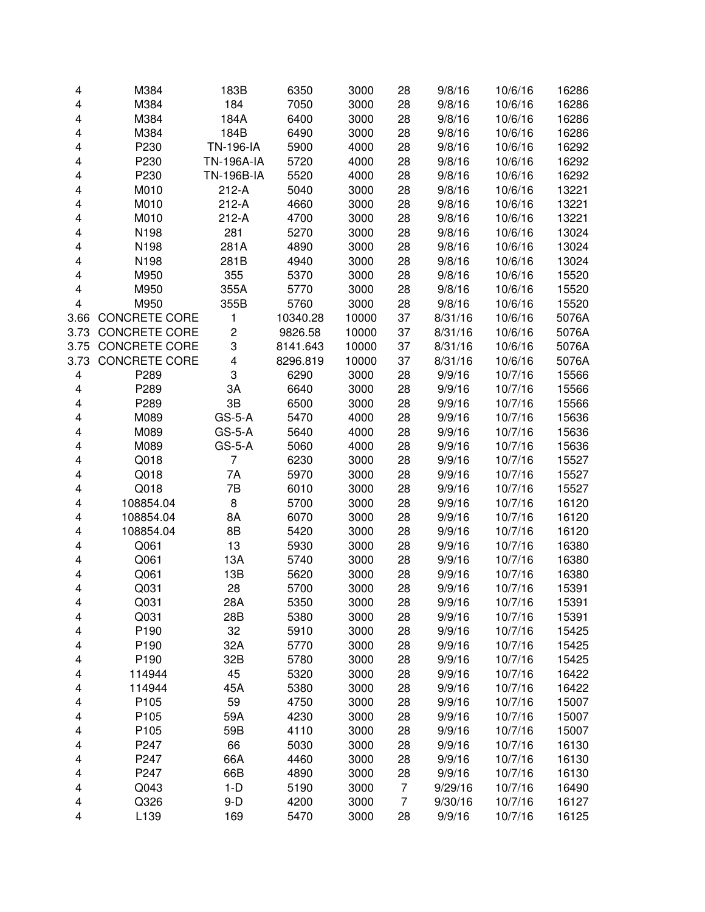| 4    | M384                 | 183B              | 6350     | 3000  | 28 | 9/8/16  | 10/6/16 | 16286 |
|------|----------------------|-------------------|----------|-------|----|---------|---------|-------|
| 4    | M384                 | 184               | 7050     | 3000  | 28 | 9/8/16  | 10/6/16 | 16286 |
| 4    | M384                 | 184A              | 6400     | 3000  | 28 | 9/8/16  | 10/6/16 | 16286 |
| 4    | M384                 | 184B              | 6490     | 3000  | 28 | 9/8/16  |         | 16286 |
|      |                      |                   |          |       |    |         | 10/6/16 |       |
| 4    | P230                 | TN-196-IA         | 5900     | 4000  | 28 | 9/8/16  | 10/6/16 | 16292 |
| 4    | P230                 | <b>TN-196A-IA</b> | 5720     | 4000  | 28 | 9/8/16  | 10/6/16 | 16292 |
| 4    | P230                 | <b>TN-196B-IA</b> | 5520     | 4000  | 28 | 9/8/16  | 10/6/16 | 16292 |
| 4    | M010                 | $212-A$           | 5040     | 3000  | 28 | 9/8/16  | 10/6/16 | 13221 |
| 4    | M010                 | $212-A$           | 4660     | 3000  | 28 | 9/8/16  | 10/6/16 | 13221 |
| 4    | M010                 | $212-A$           | 4700     | 3000  | 28 | 9/8/16  | 10/6/16 | 13221 |
| 4    | N198                 | 281               | 5270     | 3000  | 28 | 9/8/16  | 10/6/16 | 13024 |
| 4    | N198                 | 281A              | 4890     | 3000  | 28 | 9/8/16  | 10/6/16 | 13024 |
| 4    | N198                 | 281B              | 4940     | 3000  | 28 | 9/8/16  | 10/6/16 | 13024 |
| 4    | M950                 | 355               | 5370     | 3000  | 28 | 9/8/16  | 10/6/16 | 15520 |
| 4    | M950                 | 355A              | 5770     | 3000  | 28 | 9/8/16  | 10/6/16 | 15520 |
| 4    | M950                 | 355B              | 5760     | 3000  | 28 | 9/8/16  | 10/6/16 | 15520 |
| 3.66 | <b>CONCRETE CORE</b> | 1                 | 10340.28 | 10000 | 37 | 8/31/16 | 10/6/16 | 5076A |
| 3.73 | <b>CONCRETE CORE</b> | $\overline{c}$    | 9826.58  | 10000 | 37 | 8/31/16 | 10/6/16 | 5076A |
| 3.75 | <b>CONCRETE CORE</b> | 3                 | 8141.643 | 10000 | 37 | 8/31/16 | 10/6/16 | 5076A |
| 3.73 | <b>CONCRETE CORE</b> | 4                 | 8296.819 | 10000 | 37 | 8/31/16 | 10/6/16 | 5076A |
| 4    | P289                 | 3                 | 6290     | 3000  | 28 | 9/9/16  | 10/7/16 | 15566 |
| 4    | P289                 | 3A                | 6640     | 3000  | 28 | 9/9/16  | 10/7/16 | 15566 |
| 4    | P289                 | 3B                | 6500     | 3000  | 28 | 9/9/16  | 10/7/16 | 15566 |
| 4    | M089                 | $GS-5-A$          | 5470     | 4000  | 28 | 9/9/16  | 10/7/16 | 15636 |
| 4    | M089                 | $GS-5-A$          | 5640     | 4000  | 28 | 9/9/16  | 10/7/16 | 15636 |
| 4    | M089                 | $GS-5-A$          | 5060     | 4000  | 28 | 9/9/16  | 10/7/16 | 15636 |
| 4    | Q018                 | $\overline{7}$    | 6230     | 3000  | 28 | 9/9/16  | 10/7/16 | 15527 |
| 4    | Q018                 | 7A                | 5970     | 3000  | 28 | 9/9/16  | 10/7/16 | 15527 |
| 4    | Q018                 | 7B                | 6010     | 3000  | 28 | 9/9/16  | 10/7/16 | 15527 |
| 4    | 108854.04            | 8                 | 5700     | 3000  | 28 | 9/9/16  | 10/7/16 | 16120 |
| 4    | 108854.04            | 8A                | 6070     | 3000  | 28 | 9/9/16  | 10/7/16 | 16120 |
| 4    | 108854.04            | 8B                | 5420     | 3000  | 28 | 9/9/16  | 10/7/16 | 16120 |
| 4    | Q061                 | 13                | 5930     | 3000  | 28 | 9/9/16  | 10/7/16 | 16380 |
| 4    | Q061                 | 13A               | 5740     | 3000  | 28 | 9/9/16  | 10/7/16 | 16380 |
| 4    | Q061                 | 13B               | 5620     | 3000  | 28 | 9/9/16  | 10/7/16 | 16380 |
| 4    | Q031                 | 28                | 5700     | 3000  | 28 | 9/9/16  | 10/7/16 | 15391 |
| 4    | Q031                 | 28A               | 5350     | 3000  | 28 | 9/9/16  | 10/7/16 | 15391 |
| 4    | Q031                 | 28B               | 5380     | 3000  | 28 | 9/9/16  | 10/7/16 | 15391 |
| 4    | P190                 | 32                | 5910     | 3000  | 28 | 9/9/16  | 10/7/16 | 15425 |
| 4    | P190                 | 32A               | 5770     | 3000  | 28 | 9/9/16  | 10/7/16 | 15425 |
| 4    | P190                 | 32B               | 5780     | 3000  | 28 | 9/9/16  | 10/7/16 | 15425 |
| 4    | 114944               | 45                | 5320     | 3000  | 28 | 9/9/16  | 10/7/16 | 16422 |
| 4    | 114944               | 45A               | 5380     | 3000  | 28 | 9/9/16  | 10/7/16 | 16422 |
| 4    | P105                 | 59                | 4750     | 3000  | 28 | 9/9/16  | 10/7/16 | 15007 |
| 4    | P105                 | 59A               | 4230     | 3000  | 28 | 9/9/16  | 10/7/16 | 15007 |
| 4    | P105                 | 59B               | 4110     | 3000  | 28 | 9/9/16  | 10/7/16 | 15007 |
| 4    | P247                 | 66                | 5030     | 3000  | 28 | 9/9/16  | 10/7/16 | 16130 |
|      | P247                 |                   |          |       |    |         |         |       |
| 4    | P247                 | 66A<br>66B        | 4460     | 3000  | 28 | 9/9/16  | 10/7/16 | 16130 |
| 4    |                      | $1-D$             | 4890     | 3000  | 28 | 9/9/16  | 10/7/16 | 16130 |
| 4    | Q043                 |                   | 5190     | 3000  | 7  | 9/29/16 | 10/7/16 | 16490 |
| 4    | Q326                 | $9-D$             | 4200     | 3000  | 7  | 9/30/16 | 10/7/16 | 16127 |
| 4    | L139                 | 169               | 5470     | 3000  | 28 | 9/9/16  | 10/7/16 | 16125 |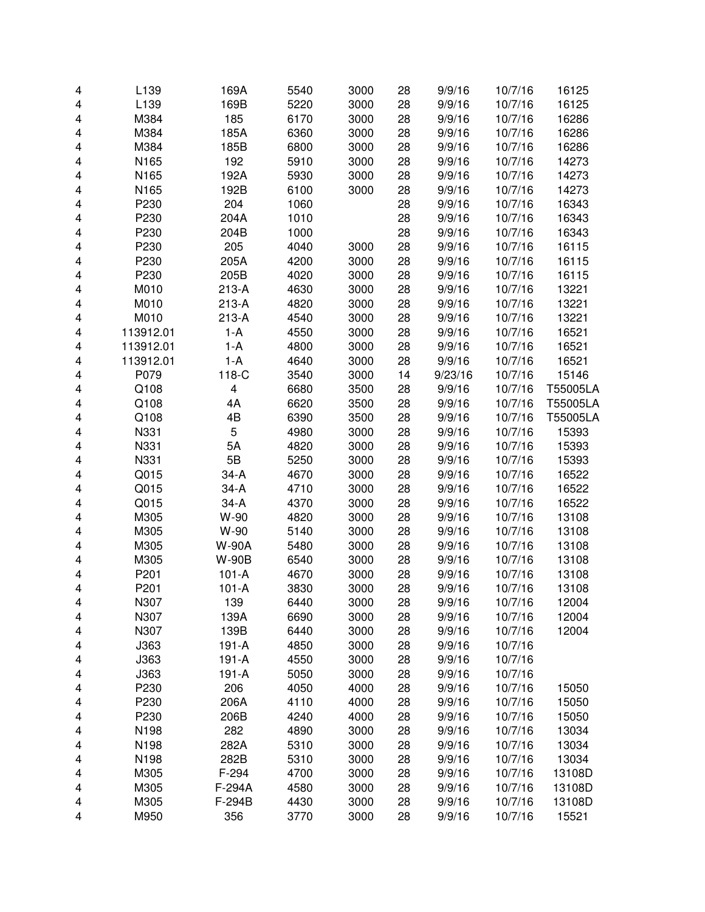| 4 | L139      | 169A         | 5540 | 3000 | 28 | 9/9/16  | 10/7/16 | 16125    |
|---|-----------|--------------|------|------|----|---------|---------|----------|
| 4 | L139      | 169B         | 5220 | 3000 | 28 | 9/9/16  | 10/7/16 | 16125    |
| 4 | M384      | 185          | 6170 | 3000 | 28 | 9/9/16  | 10/7/16 | 16286    |
| 4 | M384      | 185A         | 6360 | 3000 | 28 | 9/9/16  | 10/7/16 | 16286    |
| 4 | M384      | 185B         | 6800 | 3000 | 28 | 9/9/16  | 10/7/16 | 16286    |
| 4 | N165      | 192          | 5910 | 3000 | 28 | 9/9/16  | 10/7/16 | 14273    |
| 4 | N165      | 192A         | 5930 | 3000 | 28 | 9/9/16  | 10/7/16 | 14273    |
| 4 | N165      | 192B         | 6100 | 3000 | 28 | 9/9/16  | 10/7/16 | 14273    |
| 4 | P230      | 204          | 1060 |      | 28 | 9/9/16  | 10/7/16 | 16343    |
| 4 | P230      | 204A         | 1010 |      | 28 | 9/9/16  | 10/7/16 | 16343    |
| 4 | P230      | 204B         | 1000 |      | 28 | 9/9/16  | 10/7/16 | 16343    |
| 4 | P230      | 205          | 4040 | 3000 | 28 | 9/9/16  | 10/7/16 | 16115    |
| 4 | P230      | 205A         | 4200 | 3000 | 28 | 9/9/16  | 10/7/16 | 16115    |
| 4 | P230      | 205B         | 4020 | 3000 | 28 | 9/9/16  | 10/7/16 | 16115    |
| 4 | M010      | $213-A$      | 4630 | 3000 | 28 | 9/9/16  | 10/7/16 | 13221    |
| 4 | M010      | $213-A$      | 4820 | 3000 | 28 | 9/9/16  | 10/7/16 | 13221    |
| 4 | M010      | $213-A$      | 4540 | 3000 | 28 | 9/9/16  | 10/7/16 | 13221    |
| 4 | 113912.01 | $1-A$        | 4550 | 3000 | 28 | 9/9/16  | 10/7/16 | 16521    |
| 4 | 113912.01 | $1-A$        | 4800 | 3000 | 28 | 9/9/16  | 10/7/16 | 16521    |
| 4 | 113912.01 | $1-A$        | 4640 | 3000 | 28 | 9/9/16  | 10/7/16 | 16521    |
| 4 | P079      | 118-C        | 3540 | 3000 | 14 | 9/23/16 | 10/7/16 | 15146    |
| 4 | Q108      | 4            | 6680 | 3500 | 28 | 9/9/16  | 10/7/16 | T55005LA |
| 4 | Q108      | 4A           | 6620 | 3500 | 28 | 9/9/16  | 10/7/16 | T55005LA |
| 4 | Q108      | 4B           | 6390 | 3500 | 28 | 9/9/16  | 10/7/16 | T55005LA |
| 4 | N331      | 5            | 4980 | 3000 | 28 | 9/9/16  | 10/7/16 | 15393    |
| 4 | N331      | 5A           | 4820 | 3000 | 28 | 9/9/16  | 10/7/16 | 15393    |
| 4 | N331      | 5B           | 5250 | 3000 | 28 | 9/9/16  | 10/7/16 | 15393    |
| 4 | Q015      | $34-A$       | 4670 | 3000 | 28 | 9/9/16  | 10/7/16 | 16522    |
| 4 | Q015      | $34-A$       | 4710 | 3000 | 28 | 9/9/16  | 10/7/16 | 16522    |
| 4 | Q015      | $34-A$       | 4370 | 3000 | 28 | 9/9/16  | 10/7/16 | 16522    |
| 4 | M305      | W-90         | 4820 | 3000 | 28 | 9/9/16  | 10/7/16 | 13108    |
| 4 | M305      | W-90         | 5140 | 3000 | 28 | 9/9/16  | 10/7/16 | 13108    |
| 4 | M305      | <b>W-90A</b> | 5480 | 3000 | 28 | 9/9/16  | 10/7/16 | 13108    |
| 4 | M305      | <b>W-90B</b> | 6540 | 3000 | 28 | 9/9/16  | 10/7/16 | 13108    |
| 4 | P201      | $101 - A$    | 4670 | 3000 | 28 | 9/9/16  | 10/7/16 | 13108    |
| 4 | P201      | $101 - A$    | 3830 | 3000 | 28 | 9/9/16  | 10/7/16 | 13108    |
| 4 | N307      | 139          | 6440 | 3000 | 28 | 9/9/16  | 10/7/16 | 12004    |
| 4 | N307      | 139A         | 6690 | 3000 | 28 | 9/9/16  | 10/7/16 | 12004    |
| 4 | N307      | 139B         | 6440 | 3000 | 28 | 9/9/16  | 10/7/16 | 12004    |
| 4 | J363      | 191-A        | 4850 | 3000 | 28 | 9/9/16  | 10/7/16 |          |
| 4 | J363      | 191-A        | 4550 | 3000 | 28 | 9/9/16  | 10/7/16 |          |
| 4 | J363      | $191 - A$    | 5050 | 3000 | 28 | 9/9/16  | 10/7/16 |          |
| 4 | P230      | 206          | 4050 | 4000 | 28 | 9/9/16  | 10/7/16 | 15050    |
| 4 | P230      | 206A         | 4110 | 4000 | 28 | 9/9/16  | 10/7/16 | 15050    |
| 4 | P230      | 206B         | 4240 | 4000 | 28 | 9/9/16  | 10/7/16 | 15050    |
| 4 | N198      | 282          | 4890 | 3000 | 28 | 9/9/16  | 10/7/16 | 13034    |
| 4 | N198      | 282A         | 5310 | 3000 | 28 | 9/9/16  | 10/7/16 | 13034    |
| 4 | N198      | 282B         | 5310 | 3000 | 28 | 9/9/16  | 10/7/16 | 13034    |
| 4 | M305      | F-294        | 4700 | 3000 | 28 | 9/9/16  | 10/7/16 | 13108D   |
| 4 | M305      | F-294A       | 4580 | 3000 | 28 | 9/9/16  | 10/7/16 | 13108D   |
| 4 | M305      | F-294B       | 4430 | 3000 | 28 | 9/9/16  | 10/7/16 | 13108D   |
| 4 | M950      | 356          | 3770 | 3000 | 28 | 9/9/16  | 10/7/16 | 15521    |
|   |           |              |      |      |    |         |         |          |